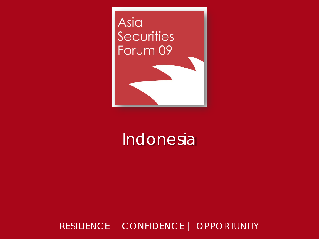

#### Indonesia

#### RESILIENCE | CONFIDENCE | OPPORTUNITY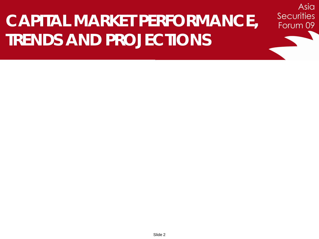# **CAPITAL MARKET PERFORMANCE, TRENDS AND PROJECTIONS**

Asia

**Securities**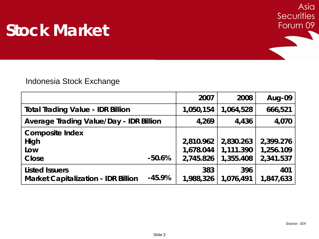

|                                                |          | 2007      | 2008      | Aug-09    |
|------------------------------------------------|----------|-----------|-----------|-----------|
| <b>Total Trading Value - IDR Billion</b>       |          | 1,050,154 | 1,064,528 | 666,521   |
| <b>Average Trading Value/Day - IDR Billion</b> |          | 4,269     | 4,436     | 4,070     |
| <b>Composite Index</b>                         |          |           |           |           |
| High                                           |          | 2,810.962 | 2,830.263 | 2,399.276 |
| Low                                            |          | 1,678.044 | 1,111.390 | 1,256.109 |
| Close                                          | $-50.6%$ | 2,745.826 | 1,355.408 | 2,341.537 |
| <b>Listed Issuers</b>                          |          | 383       | 396       | 401       |
| <b>Market Capitalization - IDR Billion</b>     | $-45.9%$ | 1,988,326 | 1,076,491 | 1,847,633 |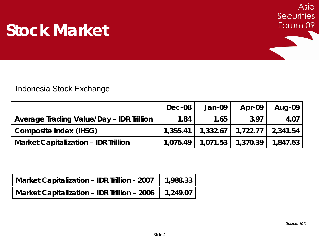

|                                             | Dec-08 | Jan-09 | Apr-09                                            | Aug-09 |
|---------------------------------------------|--------|--------|---------------------------------------------------|--------|
| Average Trading Value/Day - IDR Trillion    | 1.84   | 1.65   | 3.97                                              | 4.07   |
| <b>Composite Index (IHSG)</b>               |        |        | $1,355.41$   $1,332.67$   $1,722.77$   2,341.54   |        |
| <b>Market Capitalization - IDR Trillion</b> |        |        | $1,076.49$   $1,071.53$   $1,370.39$   $1,847.63$ |        |

| Market Capitalization - IDR Trillion - 2007 $\parallel$ 1,988.33 |  |
|------------------------------------------------------------------|--|
| Market Capitalization - IDR Trillion - 2006   1,249.07           |  |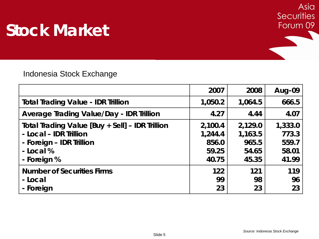

|                                                 | 2007    | 2008    | Aug-09  |
|-------------------------------------------------|---------|---------|---------|
| <b>Total Trading Value - IDR Trillion</b>       | 1,050.2 | 1,064.5 | 666.5   |
| <b>Average Trading Value/Day - IDR Trillion</b> | 4.27    | 4.44    | 4.07    |
| Total Trading Value [Buy + Sell] - IDR Trillion | 2,100.4 | 2,129.0 | 1,333.0 |
| - Local - IDR Trillion                          | 1,244.4 | 1,163.5 | 773.3   |
| - Foreign - IDR Trillion                        | 856.0   | 965.5   | 559.7   |
| - Local %                                       | 59.25   | 54.65   | 58.01   |
| - Foreign %                                     | 40.75   | 45.35   | 41.99   |
| <b>Number of Securities Firms</b>               | 122     | 121     | 119     |
| - Local                                         | 99      | 98      | 96      |
| - Foreign                                       | 23      | 23      | 23      |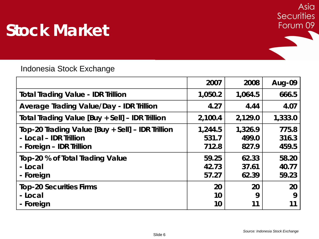

|                                                                                                        | 2007                      | 2008                      | Aug-09                  |
|--------------------------------------------------------------------------------------------------------|---------------------------|---------------------------|-------------------------|
| <b>Total Trading Value - IDR Trillion</b>                                                              | 1,050.2                   | 1,064.5                   | 666.5                   |
| <b>Average Trading Value/Day - IDR Trillion</b>                                                        | 4.27                      | 4.44                      | 4.07                    |
| Total Trading Value [Buy + Sell] - IDR Trillion                                                        | 2,100.4                   | 2,129.0                   | 1,333.0                 |
| Top-20 Trading Value [Buy + Sell] – IDR Trillion<br>- Local - IDR Trillion<br>- Foreign - IDR Trillion | 1,244.5<br>531.7<br>712.8 | 1,326.9<br>499.0<br>827.9 | 775.8<br>316.3<br>459.5 |
| Top-20 % of Total Trading Value<br>- Local<br>- Foreign                                                | 59.25<br>42.73<br>57.27   | 62.33<br>37.61<br>62.39   | 58.20<br>40.77<br>59.23 |
| <b>Top-20 Securities Firms</b><br>- Local<br>- Foreign                                                 | 20<br>10<br>10            | 20<br>9                   | 20<br>9                 |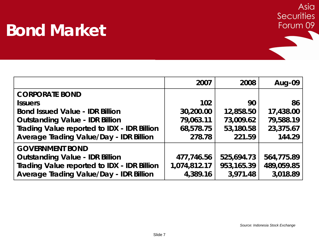#### **Bond Market**



|                                                    | 2007         | 2008       | Aug-09     |
|----------------------------------------------------|--------------|------------|------------|
| <b>CORPORATE BOND</b>                              |              |            |            |
| <b>Issuers</b>                                     | 102          | 90         | 86         |
| <b>Bond Issued Value - IDR Billion</b>             | 30,200.00    | 12,858.50  | 17,438.00  |
| <b>Outstanding Value - IDR Billion</b>             | 79,063.11    | 73,009.62  | 79,588.19  |
| <b>Trading Value reported to IDX - IDR Billion</b> | 68,578.75    | 53,180.58  | 23,375.67  |
| <b>Average Trading Value/Day - IDR Billion</b>     | 278.78       | 221.59     | 144.29     |
| <b>GOVERNMENT BOND</b>                             |              |            |            |
| <b>Outstanding Value - IDR Billion</b>             | 477,746.56   | 525,694.73 | 564,775.89 |
| <b>Trading Value reported to IDX - IDR Billion</b> | 1,074,812.17 | 953,165.39 | 489,059.85 |
| <b>Average Trading Value/Day - IDR Billion</b>     | 4,389.16     | 3,971.48   | 3,018.89   |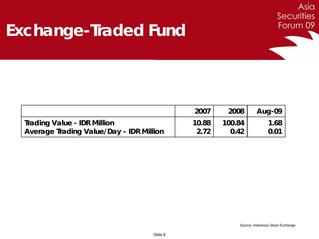#### **Exchange-Traded Fund**



Asia

**Securities**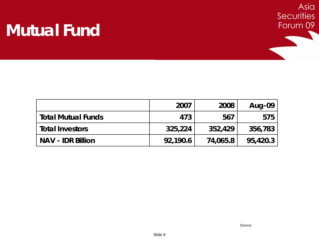#### **Mutual Fund**



|                           | 2007     | 2008     | Aug-09   |
|---------------------------|----------|----------|----------|
| <b>Total Mutual Funds</b> | 473      | 567      | 575      |
| <b>Total Investors</b>    | 325,224  | 352,429  | 356,783  |
| <b>NAV - IDR Billion</b>  | 92,190.6 | 74,065.8 | 95,420.3 |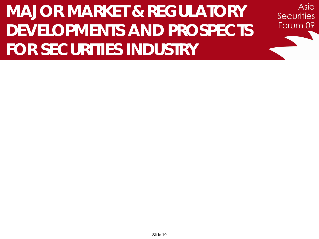# **MAJOR MARKET & REGULATORY DEVELOPMENTS AND PROSPECTS FOR SECURITIES INDUSTRY**

Asia

**Securities**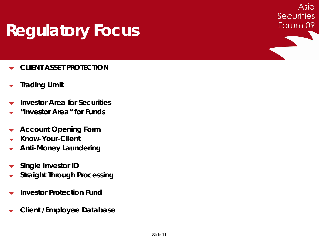## **Regulatory Focus**

- **CLIENT ASSET PROTECTION**
- **Trading Limit**
- **Investor Area for Securities**
- **"Investor Area" for Funds**
- **Account Opening Form**
- **Know-Your-Client**
- **Anti-Money Laundering**
- **Single Investor ID**
- **Straight Through Processing**
- **Investor Protection Fund**
- **Client /Employee Database**

Asia

**Securities**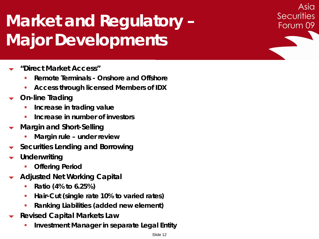# **Market and Regulatory – Major Developments**

- **"Direct Market Access"**
	- **Remote Terminals - Onshore and Offshore**
	- **Access through licensed Members of IDX**
- **On-line Trading**
	- **Increase in trading value**
	- **Increase in number of investors**
- **Margin and Short-Selling**
	- **Margin rule – under review**
- **Securities Lending and Borrowing**
- **Underwriting**
	- **Offering Period**
- **Adjusted Net Working Capital**
	- **Ratio (4% to 6.25%)**
	- **Hair-Cut (single rate 10% to varied rates)**
	- **Ranking Liabilities (added new element)**
- **Revised Capital Markets Law**
	- **Investment Manager in separate Legal Entity**

Asia

**Securities**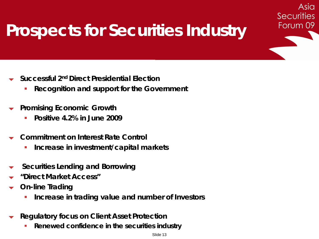## **Prospects for Securities Industry**

Asia

**Securities** 

- **Successful 2nd Direct Presidential Election**
	- **Recognition and support for the Government**
- **Promising Economic Growth**
	- **Positive 4.2% in June 2009**
- **Commitment on Interest Rate Control**
	- **Increase in investment/capital markets**
- **Securities Lending and Borrowing**
- **"Direct Market Access"**
- **On-line Trading**
	- **If the Increase in trading value and number of Investors**
- **Regulatory focus on Client Asset Protection**
	- **Renewed confidence in the securities industry**